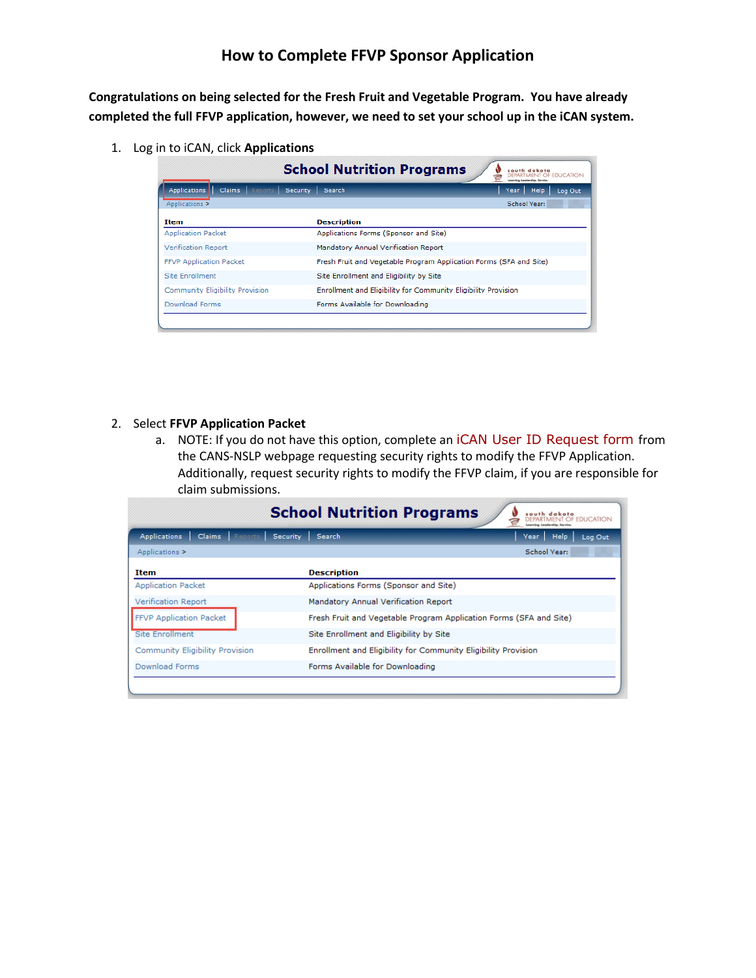## **How to Complete FFVP Sponsor Application**

**Congratulations on being selected for the Fresh Fruit and Vegetable Program. You have already completed the full FFVP application, however, we need to set your school up in the iCAN system.** 

1. Log in to iCAN, click **Applications**

|                                          | <b>School Nutrition Programs</b>                                   | iouth dakota<br><b>EDUCATION</b>                               |  |  |
|------------------------------------------|--------------------------------------------------------------------|----------------------------------------------------------------|--|--|
| Reports<br><b>Applications</b><br>Claims | Security<br><b>Search</b>                                          | <b>Help</b><br>Log Out<br>Year                                 |  |  |
| Applications >                           |                                                                    | School Year:                                                   |  |  |
| Item                                     | <b>Description</b>                                                 |                                                                |  |  |
| <b>Application Packet</b>                | Applications Forms (Sponsor and Site)                              |                                                                |  |  |
| Verification Report                      | Mandatory Annual Verification Report                               |                                                                |  |  |
| <b>FFVP Application Packet</b>           | Fresh Fruit and Vegetable Program Application Forms (SFA and Site) |                                                                |  |  |
| Site Enrollment                          | Site Enrollment and Eligibility by Site                            |                                                                |  |  |
| Community Eligibility Provision          |                                                                    | Enrollment and Eligibility for Community Eligibility Provision |  |  |
| Download Forms                           | Forms Available for Downloading                                    |                                                                |  |  |

## 2. Select **FFVP Application Packet**

a. NOTE: If you do not have this option, complete an [iCAN User ID Request form](http://doe.sd.gov/cans/documents/iCANUserR.docx) from the CANS-NSLP webpage requesting security rights to modify the FFVP Application. Additionally, request security rights to modify the FFVP claim, if you are responsible for claim submissions.

|                                                                    | <b>School Nutrition Programs</b>                                   | south dakota<br>NT OF EDUCATION |         |
|--------------------------------------------------------------------|--------------------------------------------------------------------|---------------------------------|---------|
| Reports<br><b>Claims</b><br><b>Applications</b><br><b>Security</b> | <b>Search</b>                                                      | <b>Help</b><br>Year             | Log Out |
| Applications >                                                     |                                                                    | School Year:                    |         |
| <b>Item</b>                                                        | <b>Description</b>                                                 |                                 |         |
| <b>Application Packet</b>                                          | Applications Forms (Sponsor and Site)                              |                                 |         |
| Verification Report                                                | Mandatory Annual Verification Report                               |                                 |         |
| <b>FFVP Application Packet</b>                                     | Fresh Fruit and Vegetable Program Application Forms (SFA and Site) |                                 |         |
| Site Enrollment                                                    | Site Enrollment and Eligibility by Site                            |                                 |         |
| <b>Community Eligibility Provision</b>                             | Enrollment and Eligibility for Community Eligibility Provision     |                                 |         |
| Download Forms                                                     | Forms Available for Downloading                                    |                                 |         |
|                                                                    |                                                                    |                                 |         |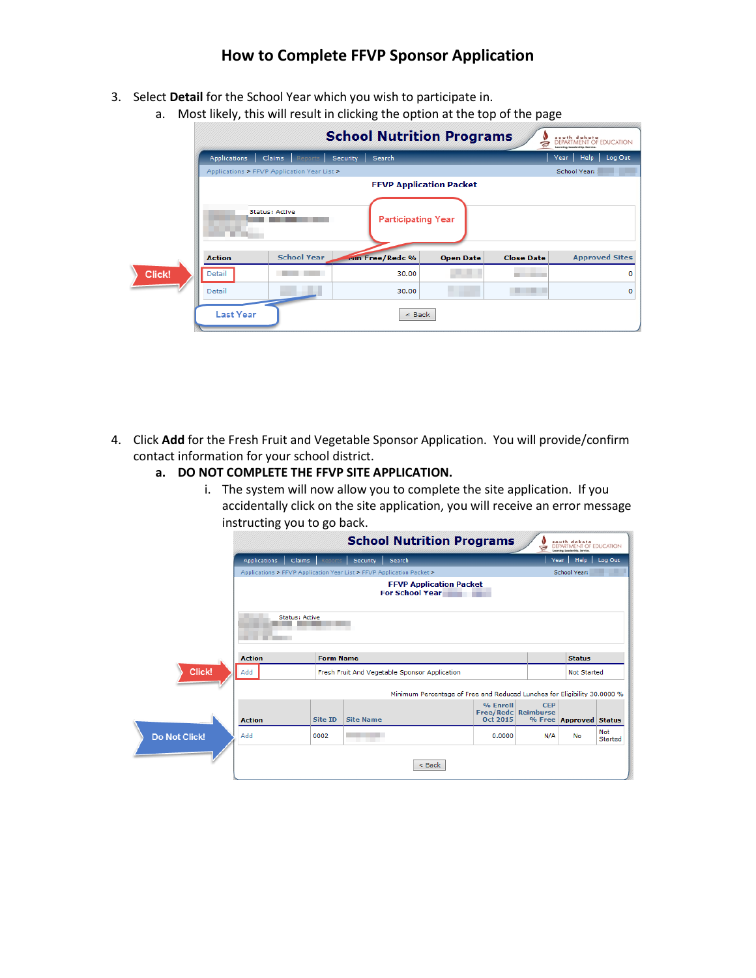## **How to Complete FFVP Sponsor Application**

- 3. Select **Detail** for the School Year which you wish to participate in.
	- a. Most likely, this will result in clicking the option at the top of the page

|        |                                |                                             | <b>School Nutrition Programs</b> |                  | a                 | south dakota<br>DEPARTMENT OF EDUCATION<br>Leonvino, Leadership, Service, |
|--------|--------------------------------|---------------------------------------------|----------------------------------|------------------|-------------------|---------------------------------------------------------------------------|
|        | <b>Applications</b>            | Reports<br>Claims                           | Search<br><b>Security</b>        |                  |                   | Year Help<br>Log Out                                                      |
|        |                                | Applications > FFVP Application Year List > |                                  |                  |                   | School Year:                                                              |
|        | <b>FFVP Application Packet</b> |                                             |                                  |                  |                   |                                                                           |
|        |                                | <b>Status: Active</b>                       | <b>Participating Year</b>        |                  |                   |                                                                           |
|        | <b>Action</b>                  | <b>School Year</b>                          | run Free/Redc %                  | <b>Open Date</b> | <b>Close Date</b> | <b>Approved Sites</b>                                                     |
| Click! | Detail                         |                                             | 30.00                            |                  |                   | 0                                                                         |
|        | Detail                         |                                             | 30.00                            |                  |                   | o                                                                         |
|        | <b>Last Year</b>               |                                             | $<$ Back                         |                  |                   |                                                                           |

- 4. Click **Add** for the Fresh Fruit and Vegetable Sponsor Application. You will provide/confirm contact information for your school district.
	- **a. DO NOT COMPLETE THE FFVP SITE APPLICATION.**
		- i. The system will now allow you to complete the site application. If you accidentally click on the site application, you will receive an error message instructing you to go back.

|                      |                                                          |                                                                       |                  | <b>School Nutrition Programs</b>                                         |                                             | ā                  | south dakota<br>DEPARTMENT OF EDUCATION<br>Leoreing, Leadership, Service. |                       |
|----------------------|----------------------------------------------------------|-----------------------------------------------------------------------|------------------|--------------------------------------------------------------------------|---------------------------------------------|--------------------|---------------------------------------------------------------------------|-----------------------|
|                      | <b>Applications</b>                                      | <b>Claims</b><br>Reports                                              | <b>Security</b>  | Search                                                                   |                                             |                    | Help Log Out<br>Year                                                      |                       |
|                      |                                                          | Applications > FFVP Application Year List > FFVP Application Packet > |                  |                                                                          |                                             |                    | School Year:                                                              |                       |
|                      | <b>FFVP Application Packet</b><br><b>For School Year</b> |                                                                       |                  |                                                                          |                                             |                    |                                                                           |                       |
|                      | Status: Active                                           |                                                                       |                  |                                                                          |                                             |                    |                                                                           |                       |
|                      | <b>Action</b>                                            | <b>Form Name</b>                                                      |                  |                                                                          |                                             |                    | <b>Status</b>                                                             |                       |
| Click!               | Add<br>Fresh Fruit And Vegetable Sponsor Application     |                                                                       |                  |                                                                          |                                             | <b>Not Started</b> |                                                                           |                       |
|                      |                                                          |                                                                       |                  | Minimum Percentage of Free and Reduced Lunches for Eligibility 30,0000 % |                                             |                    |                                                                           |                       |
|                      | <b>Action</b>                                            | <b>Site ID</b>                                                        | <b>Site Name</b> |                                                                          | % Enroll<br>Free/Redc Reimburse<br>Oct 2015 | <b>CEP</b>         | % Free Approved Status                                                    |                       |
| <b>Do Not Click!</b> | Add                                                      | 0002                                                                  |                  |                                                                          | 0.0000                                      | N/A                | No                                                                        | <b>Not</b><br>Started |
|                      |                                                          |                                                                       |                  | $<$ Back                                                                 |                                             |                    |                                                                           |                       |